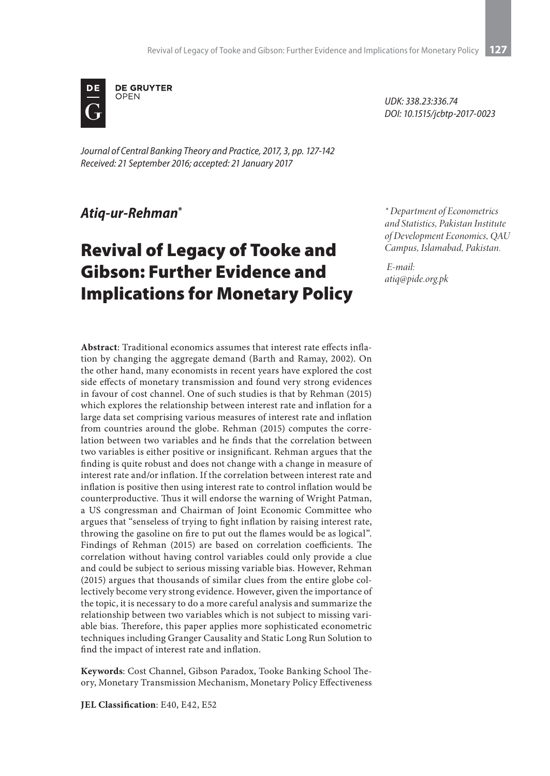

*Journal of Central Banking Theory and Practice, 2017, 3, pp. 127-142 Received: 21 September 2016; accepted: 21 January 2017*

*Atiq-ur-Rehman***\***

# Revival of Legacy of Tooke and Gibson: Further Evidence and Implications for Monetary Policy

**Abstract**: Traditional economics assumes that interest rate effects inflation by changing the aggregate demand (Barth and Ramay, 2002). On the other hand, many economists in recent years have explored the cost side effects of monetary transmission and found very strong evidences in favour of cost channel. One of such studies is that by Rehman (2015) which explores the relationship between interest rate and inflation for a large data set comprising various measures of interest rate and inflation from countries around the globe. Rehman (2015) computes the correlation between two variables and he finds that the correlation between two variables is either positive or insignificant. Rehman argues that the finding is quite robust and does not change with a change in measure of interest rate and/or inflation. If the correlation between interest rate and inflation is positive then using interest rate to control inflation would be counterproductive. Thus it will endorse the warning of Wright Patman, a US congressman and Chairman of Joint Economic Committee who argues that "senseless of trying to fight inflation by raising interest rate, throwing the gasoline on fire to put out the flames would be as logical". Findings of Rehman (2015) are based on correlation coefficients. The correlation without having control variables could only provide a clue and could be subject to serious missing variable bias. However, Rehman (2015) argues that thousands of similar clues from the entire globe collectively become very strong evidence. However, given the importance of the topic, it is necessary to do a more careful analysis and summarize the relationship between two variables which is not subject to missing variable bias. Therefore, this paper applies more sophisticated econometric techniques including Granger Causality and Static Long Run Solution to find the impact of interest rate and inflation.

**Keywords**: Cost Channel, Gibson Paradox, Tooke Banking School Theory, Monetary Transmission Mechanism, Monetary Policy Effectiveness

**JEL Classification**: E40, E42, E52

*UDK: 338.23:336.74 DOI: 10.1515/jcbtp-2017-0023*

*\* Department of Econometrics and Statistics, Pakistan Institute of Development Economics, QAU Campus, Islamabad, Pakistan.*

 *E-mail: atiq@pide.org.pk*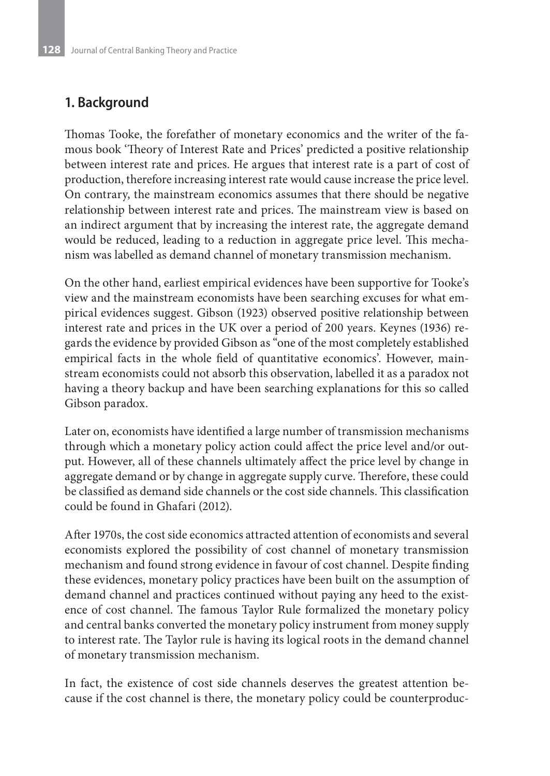# **1. Background**

Thomas Tooke, the forefather of monetary economics and the writer of the famous book 'Theory of Interest Rate and Prices' predicted a positive relationship between interest rate and prices. He argues that interest rate is a part of cost of production, therefore increasing interest rate would cause increase the price level. On contrary, the mainstream economics assumes that there should be negative relationship between interest rate and prices. The mainstream view is based on an indirect argument that by increasing the interest rate, the aggregate demand would be reduced, leading to a reduction in aggregate price level. This mechanism was labelled as demand channel of monetary transmission mechanism.

On the other hand, earliest empirical evidences have been supportive for Tooke's view and the mainstream economists have been searching excuses for what empirical evidences suggest. Gibson (1923) observed positive relationship between interest rate and prices in the UK over a period of 200 years. Keynes (1936) regards the evidence by provided Gibson as "one of the most completely established empirical facts in the whole field of quantitative economics'. However, mainstream economists could not absorb this observation, labelled it as a paradox not having a theory backup and have been searching explanations for this so called Gibson paradox.

Later on, economists have identified a large number of transmission mechanisms through which a monetary policy action could affect the price level and/or output. However, all of these channels ultimately affect the price level by change in aggregate demand or by change in aggregate supply curve. Therefore, these could be classified as demand side channels or the cost side channels. This classification could be found in Ghafari (2012).

After 1970s, the cost side economics attracted attention of economists and several economists explored the possibility of cost channel of monetary transmission mechanism and found strong evidence in favour of cost channel. Despite finding these evidences, monetary policy practices have been built on the assumption of demand channel and practices continued without paying any heed to the existence of cost channel. The famous Taylor Rule formalized the monetary policy and central banks converted the monetary policy instrument from money supply to interest rate. The Taylor rule is having its logical roots in the demand channel of monetary transmission mechanism.

In fact, the existence of cost side channels deserves the greatest attention because if the cost channel is there, the monetary policy could be counterproduc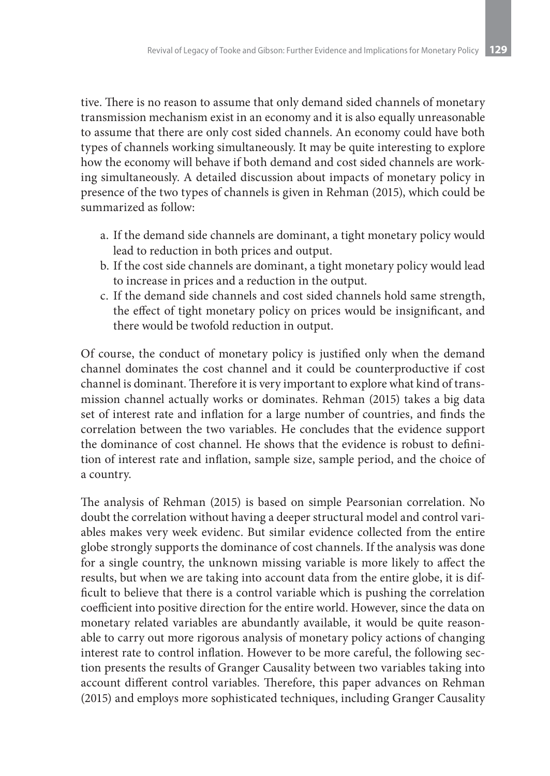tive. There is no reason to assume that only demand sided channels of monetary transmission mechanism exist in an economy and it is also equally unreasonable to assume that there are only cost sided channels. An economy could have both types of channels working simultaneously. It may be quite interesting to explore how the economy will behave if both demand and cost sided channels are working simultaneously. A detailed discussion about impacts of monetary policy in presence of the two types of channels is given in Rehman (2015), which could be summarized as follow:

- a. If the demand side channels are dominant, a tight monetary policy would lead to reduction in both prices and output.
- b. If the cost side channels are dominant, a tight monetary policy would lead to increase in prices and a reduction in the output.
- c. If the demand side channels and cost sided channels hold same strength, the effect of tight monetary policy on prices would be insignificant, and there would be twofold reduction in output.

Of course, the conduct of monetary policy is justified only when the demand channel dominates the cost channel and it could be counterproductive if cost channel is dominant. Therefore it is very important to explore what kind of transmission channel actually works or dominates. Rehman (2015) takes a big data set of interest rate and inflation for a large number of countries, and finds the correlation between the two variables. He concludes that the evidence support the dominance of cost channel. He shows that the evidence is robust to definition of interest rate and inflation, sample size, sample period, and the choice of a country.

The analysis of Rehman (2015) is based on simple Pearsonian correlation. No doubt the correlation without having a deeper structural model and control variables makes very week evidenc. But similar evidence collected from the entire globe strongly supports the dominance of cost channels. If the analysis was done for a single country, the unknown missing variable is more likely to affect the results, but when we are taking into account data from the entire globe, it is difficult to believe that there is a control variable which is pushing the correlation coefficient into positive direction for the entire world. However, since the data on monetary related variables are abundantly available, it would be quite reasonable to carry out more rigorous analysis of monetary policy actions of changing interest rate to control inflation. However to be more careful, the following section presents the results of Granger Causality between two variables taking into account different control variables. Therefore, this paper advances on Rehman (2015) and employs more sophisticated techniques, including Granger Causality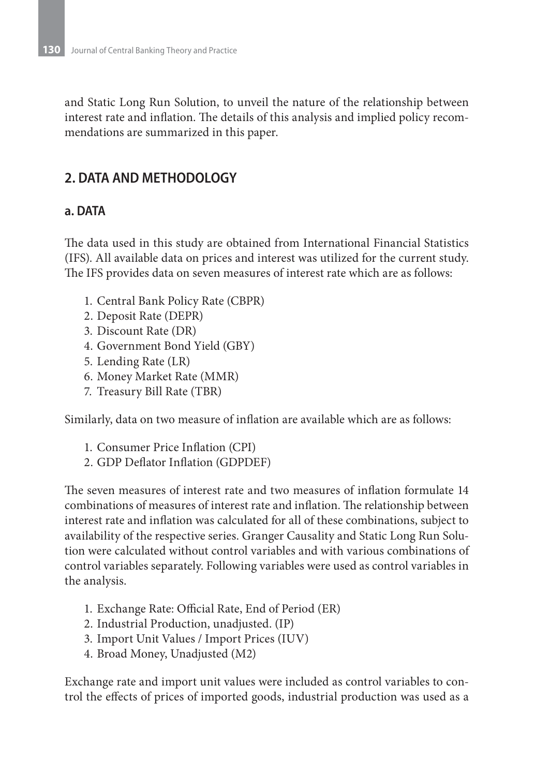and Static Long Run Solution, to unveil the nature of the relationship between interest rate and inflation. The details of this analysis and implied policy recommendations are summarized in this paper.

# **2. DATA AND METHODOLOGY**

## **a. DATA**

The data used in this study are obtained from International Financial Statistics (IFS). All available data on prices and interest was utilized for the current study. The IFS provides data on seven measures of interest rate which are as follows:

- 1. Central Bank Policy Rate (CBPR)
- 2. Deposit Rate (DEPR)
- 3. Discount Rate (DR)
- 4. Government Bond Yield (GBY)
- 5. Lending Rate (LR)
- 6. Money Market Rate (MMR)
- 7. Treasury Bill Rate (TBR)

Similarly, data on two measure of inflation are available which are as follows:

- 1. Consumer Price Inflation (CPI)
- 2. GDP Deflator Inflation (GDPDEF)

The seven measures of interest rate and two measures of inflation formulate 14 combinations of measures of interest rate and inflation. The relationship between interest rate and inflation was calculated for all of these combinations, subject to availability of the respective series. Granger Causality and Static Long Run Solution were calculated without control variables and with various combinations of control variables separately. Following variables were used as control variables in the analysis.

- 1. Exchange Rate: Official Rate, End of Period (ER)
- 2. Industrial Production, unadjusted. (IP)
- 3. Import Unit Values / Import Prices (IUV)
- 4. Broad Money, Unadjusted (M2)

Exchange rate and import unit values were included as control variables to control the effects of prices of imported goods, industrial production was used as a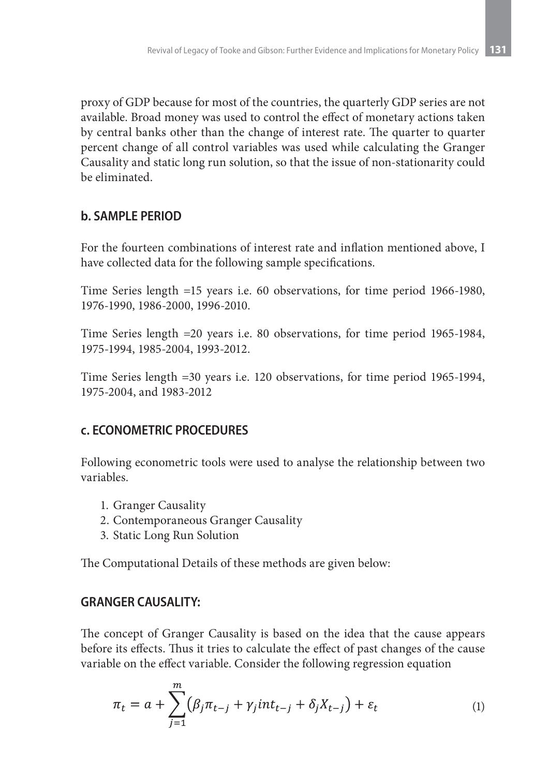proxy of GDP because for most of the countries, the quarterly GDP series are not available. Broad money was used to control the effect of monetary actions taken by central banks other than the change of interest rate. The quarter to quarter percent change of all control variables was used while calculating the Granger Causality and static long run solution, so that the issue of non-stationarity could be eliminated.

## **b. SAMPLE PERIOD**

For the fourteen combinations of interest rate and inflation mentioned above, I have collected data for the following sample specifications.

Time Series length =15 years i.e. 60 observations, for time period 1966-1980, 1976-1990, 1986-2000, 1996-2010.

Time Series length =20 years i.e. 80 observations, for time period 1965-1984, 1975-1994, 1985-2004, 1993-2012.

Time Series length =30 years i.e. 120 observations, for time period 1965-1994, 1975-2004, and 1983-2012

## **c. ECONOMETRIC PROCEDURES**

Following econometric tools were used to analyse the relationship between two variables.

- 1. Granger Causality
- 2. Contemporaneous Granger Causality
- 3. Static Long Run Solution

The Computational Details of these methods are given below:

## **GRANGER CAUSALITY:**

The concept of Granger Causality is based on the idea that the cause appears before its effects. Thus it tries to calculate the effect of past changes of the cause variable on the effect variable. Consider the following regression equation

$$
\pi_t = a + \sum_{j=1}^m (\beta_j \pi_{t-j} + \gamma_j int_{t-j} + \delta_j X_{t-j}) + \varepsilon_t \tag{1}
$$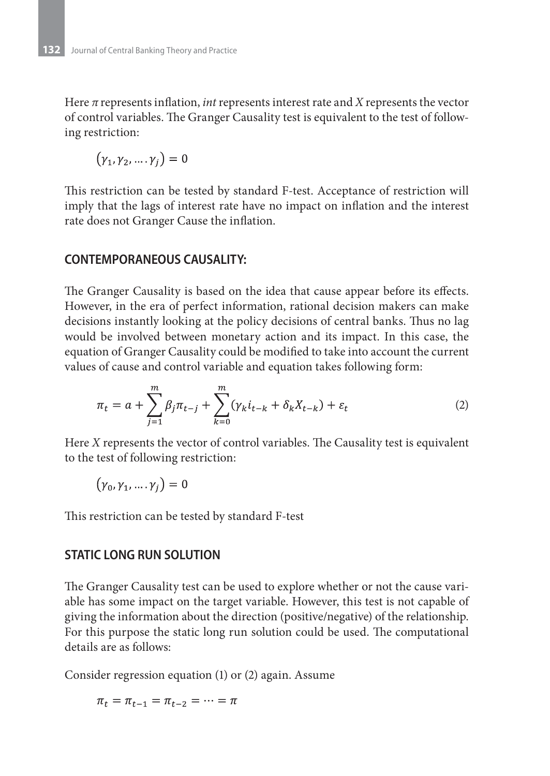Here *π* represents inflation, *int* represents interest rate and *X* represents the vector of control variables. The Granger Causality test is equivalent to the test of following restriction:

$$
(\gamma_1, \gamma_2, \dots, \gamma_j) = 0
$$

This restriction can be tested by standard F-test. Acceptance of restriction will imply that the lags of interest rate have no impact on inflation and the interest rate does not Granger Cause the inflation.

#### **CONTEMPORANEOUS CAUSALITY:**

The Granger Causality is based on the idea that cause appear before its effects. However, in the era of perfect information, rational decision makers can make decisions instantly looking at the policy decisions of central banks. Thus no lag would be involved between monetary action and its impact. In this case, the equation of Granger Causality could be modified to take into account the current values of cause and control variable and equation takes following form:

$$
\pi_t = a + \sum_{j=1}^{m} \beta_j \pi_{t-j} + \sum_{k=0}^{m} (\gamma_k i_{t-k} + \delta_k X_{t-k}) + \varepsilon_t
$$
 (2)

Here *X* represents the vector of control variables. The Causality test is equivalent to the test of following restriction:

 $(\gamma_0, \gamma_1, ..., \gamma_i) = 0$ 

This restriction can be tested by standard F-test

#### **STATIC LONG RUN SOLUTION**

The Granger Causality test can be used to explore whether or not the cause variable has some impact on the target variable. However, this test is not capable of giving the information about the direction (positive/negative) of the relationship. For this purpose the static long run solution could be used. The computational details are as follows:

Consider regression equation (1) or (2) again. Assume

$$
\pi_t=\pi_{t-1}=\pi_{t-2}=\cdots=\pi
$$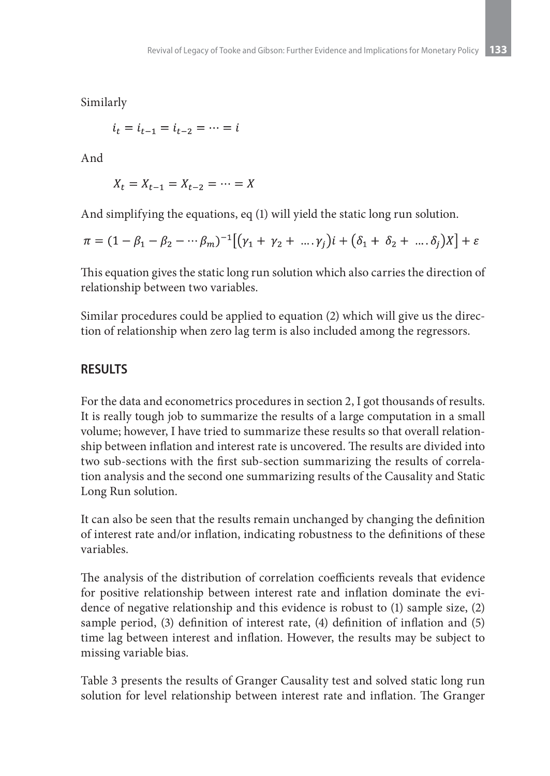Similarly

$$
i_t = i_{t-1} = i_{t-2} = \dots = i
$$

And

$$
X_t = X_{t-1} = X_{t-2} = \dots = X
$$

And simplifying the equations, eq (1) will yield the static long run solution.

$$
\pi = (1 - \beta_1 - \beta_2 - \cdots - \beta_m)^{-1} [(\gamma_1 + \gamma_2 + \dots + \gamma_j)i + (\delta_1 + \delta_2 + \dots + \delta_j)X] + \varepsilon
$$

This equation gives the static long run solution which also carries the direction of relationship between two variables.

Similar procedures could be applied to equation (2) which will give us the direction of relationship when zero lag term is also included among the regressors.

#### **RESULTS**

For the data and econometrics procedures in section 2, I got thousands of results. It is really tough job to summarize the results of a large computation in a small volume; however, I have tried to summarize these results so that overall relationship between inflation and interest rate is uncovered. The results are divided into two sub-sections with the first sub-section summarizing the results of correlation analysis and the second one summarizing results of the Causality and Static Long Run solution.

It can also be seen that the results remain unchanged by changing the definition of interest rate and/or inflation, indicating robustness to the definitions of these variables.

The analysis of the distribution of correlation coefficients reveals that evidence for positive relationship between interest rate and inflation dominate the evidence of negative relationship and this evidence is robust to (1) sample size, (2) sample period, (3) definition of interest rate, (4) definition of inflation and (5) time lag between interest and inflation. However, the results may be subject to missing variable bias.

Table 3 presents the results of Granger Causality test and solved static long run solution for level relationship between interest rate and inflation. The Granger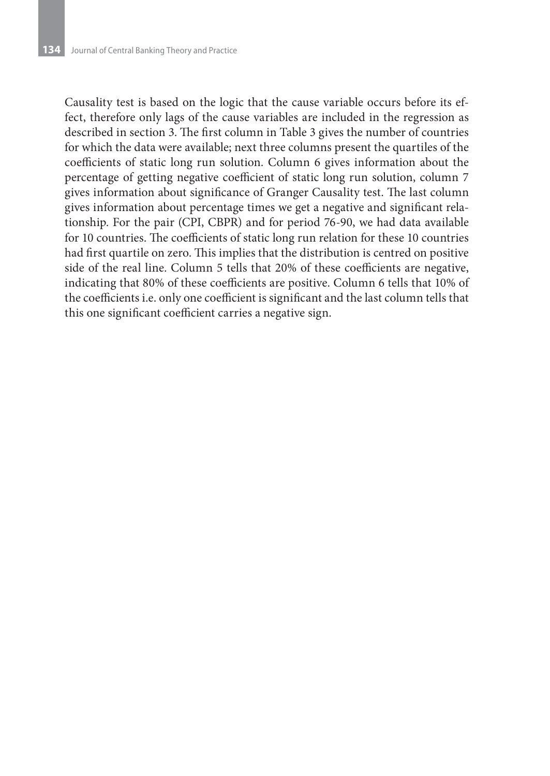Causality test is based on the logic that the cause variable occurs before its effect, therefore only lags of the cause variables are included in the regression as described in section 3. The first column in Table 3 gives the number of countries for which the data were available; next three columns present the quartiles of the coefficients of static long run solution. Column 6 gives information about the percentage of getting negative coefficient of static long run solution, column 7 gives information about significance of Granger Causality test. The last column gives information about percentage times we get a negative and significant relationship. For the pair (CPI, CBPR) and for period 76-90, we had data available for 10 countries. The coefficients of static long run relation for these 10 countries had first quartile on zero. This implies that the distribution is centred on positive side of the real line. Column 5 tells that 20% of these coefficients are negative, indicating that 80% of these coefficients are positive. Column 6 tells that 10% of the coefficients i.e. only one coefficient is significant and the last column tells that this one significant coefficient carries a negative sign.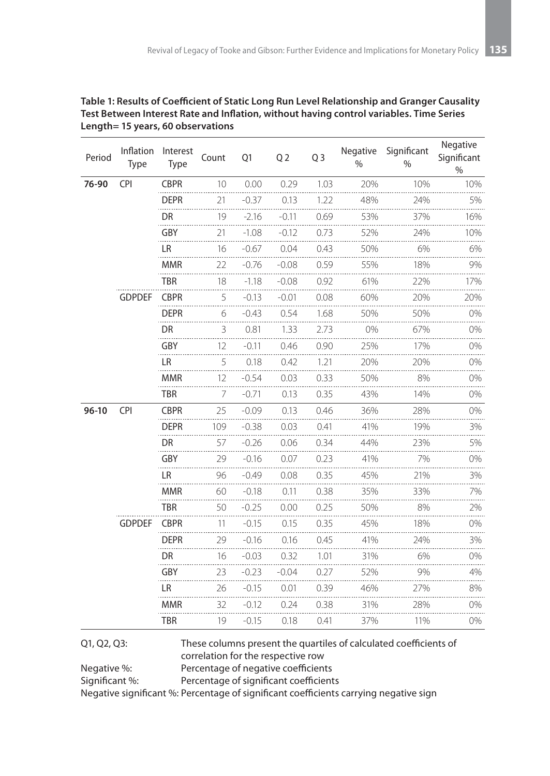| Period  | Inflation<br>Type | Interest<br><b>Type</b> | Count | Q1      | Q <sub>2</sub> | Q <sub>3</sub> | Negative<br>$\%$ | Significant<br>$\frac{0}{0}$ | Negative<br>Significant<br>$\%$ |  |
|---------|-------------------|-------------------------|-------|---------|----------------|----------------|------------------|------------------------------|---------------------------------|--|
| 76-90   | <b>CPI</b>        | <b>CBPR</b>             | 10    | 0.00    | 0.29           | 1.03           | 20%              | 10%                          | 10%                             |  |
|         |                   | <b>DEPR</b>             | 21    | $-0.37$ | 0.13           | 1.22           | 48%              | 24%                          | 5%                              |  |
|         |                   | DR                      | 19    | $-2.16$ | $-0.11$        | 0.69           | 53%              | 37%                          | 16%                             |  |
|         |                   | GBY                     | 21    | -1.08   | $-0.12$        | 0.73           | 52%              | 24%                          | 10%                             |  |
|         |                   | LR                      | 16    | $-0.67$ | 0.04           | 0.43           | 50%              | 6%                           | 6%                              |  |
|         |                   | MMR                     | 22    | $-0.76$ | $-0.08$        | 0.59           | 55%              | 18%                          | 9%                              |  |
|         |                   | TBR                     | 18    | $-1.18$ | $-0.08$        | 0.92           | 61%              | 22%                          | 17%                             |  |
|         | <b>GDPDEF</b>     | <b>CBPR</b>             | 5     | $-0.13$ | $-0.01$        | 0.08           | 60%              | 20%                          | 20%                             |  |
|         |                   | <b>DEPR</b>             | 6     | $-0.43$ | 0.54           | 1.68           | 50%              | 50%                          | 0%                              |  |
|         |                   | DR                      | 3     | 0.81    | 1.33           | 2.73           | 0%               | 67%                          | 0%                              |  |
|         |                   | GBY                     | 12    | $-0.11$ | 0.46           | 0.90           | 25%              | 17%                          | 0%                              |  |
|         |                   | LR                      | 5     | 0.18    | 0.42           | 1.21           | 20%              | 20%                          | 0%                              |  |
|         |                   | <b>MMR</b>              | 12    | $-0.54$ | 0.03           | 0.33           | 50%              | 8%                           | 0%                              |  |
|         |                   | <b>TBR</b>              | 7     | $-0.71$ | 0.13           | 0.35           | 43%              | 14%                          | 0%                              |  |
| $96-10$ | CPI               | <b>CBPR</b>             | 25    | $-0.09$ | 0.13           | 0.46           | 36%              | 28%                          | 0%                              |  |
|         |                   | <b>DEPR</b>             | 109   | $-0.38$ | 0.03           | 0.41           | 41%              | 19%                          | 3%                              |  |
|         |                   | DR                      | 57    | $-0.26$ | 0.06           | 0.34           | 44%              | 23%                          | 5%                              |  |
|         |                   | GBY                     | 29    | $-0.16$ | 0.07           | 0.23           | 41%              | 7%                           | 0%                              |  |
|         |                   | LR                      | 96    | -0.49   | 0.08           | 0.35           | 45%              | 21%                          | 3%                              |  |
|         |                   | <b>MMR</b>              | 60    | $-0.18$ | 0.11           | 0.38           | 35%              | 33%                          | 7%                              |  |
|         |                   | TBR                     | 50    | $-0.25$ | 0.00           | 0.25           | 50%              | 8%                           | 2%                              |  |
|         | <b>GDPDEF</b>     | <b>CBPR</b>             | 11    | $-0.15$ | 0.15           | 0.35           | 45%              | 18%                          | 0%                              |  |
|         |                   | DEPR                    | 29    | -0.16   | 0.16           | 0.45           | 41%              | 24%                          | 3%                              |  |
|         |                   | DR                      | 16    | $-0.03$ | 0.32           | 1.01           | 31%              | 6%                           | 0%                              |  |
|         |                   | GBY                     | 23    | -0.23   | $-0.04$        | 0.27           | 52%              | 9%                           | 4%                              |  |
|         |                   | LR                      | 26    | $-0.15$ | 0.01           | 0.39           | 46%              | 27%                          | 8%                              |  |
|         |                   | <b>MMR</b>              | 32    | $-0.12$ | 0.24           | 0.38           | 31%              | 28%                          | 0%                              |  |
|         |                   | TBR                     | 19    | -0.15   | 0.18           | 0.41           | 37%              | 11%                          | 0%                              |  |

#### **Table 1: Results of Coefficient of Static Long Run Level Relationship and Granger Causality Test Between Interest Rate and Inflation, without having control variables. Time Series Length= 15 years, 60 observations**

Q1, Q2, Q3: These columns present the quartiles of calculated coefficients of correlation for the respective row

Negative %: Percentage of negative coefficients

Significant %: Percentage of significant coefficients

Negative significant %: Percentage of significant coefficients carrying negative sign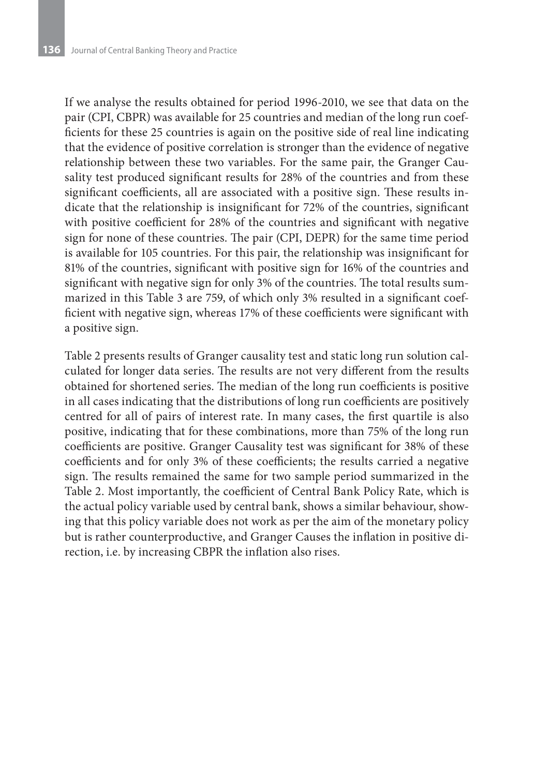If we analyse the results obtained for period 1996-2010, we see that data on the pair (CPI, CBPR) was available for 25 countries and median of the long run coefficients for these 25 countries is again on the positive side of real line indicating that the evidence of positive correlation is stronger than the evidence of negative relationship between these two variables. For the same pair, the Granger Causality test produced significant results for 28% of the countries and from these significant coefficients, all are associated with a positive sign. These results indicate that the relationship is insignificant for 72% of the countries, significant with positive coefficient for 28% of the countries and significant with negative sign for none of these countries. The pair (CPI, DEPR) for the same time period is available for 105 countries. For this pair, the relationship was insignificant for 81% of the countries, significant with positive sign for 16% of the countries and significant with negative sign for only 3% of the countries. The total results summarized in this Table 3 are 759, of which only 3% resulted in a significant coefficient with negative sign, whereas 17% of these coefficients were significant with a positive sign.

Table 2 presents results of Granger causality test and static long run solution calculated for longer data series. The results are not very different from the results obtained for shortened series. The median of the long run coefficients is positive in all cases indicating that the distributions of long run coefficients are positively centred for all of pairs of interest rate. In many cases, the first quartile is also positive, indicating that for these combinations, more than 75% of the long run coefficients are positive. Granger Causality test was significant for 38% of these coefficients and for only 3% of these coefficients; the results carried a negative sign. The results remained the same for two sample period summarized in the Table 2. Most importantly, the coefficient of Central Bank Policy Rate, which is the actual policy variable used by central bank, shows a similar behaviour, showing that this policy variable does not work as per the aim of the monetary policy but is rather counterproductive, and Granger Causes the inflation in positive direction, i.e. by increasing CBPR the inflation also rises.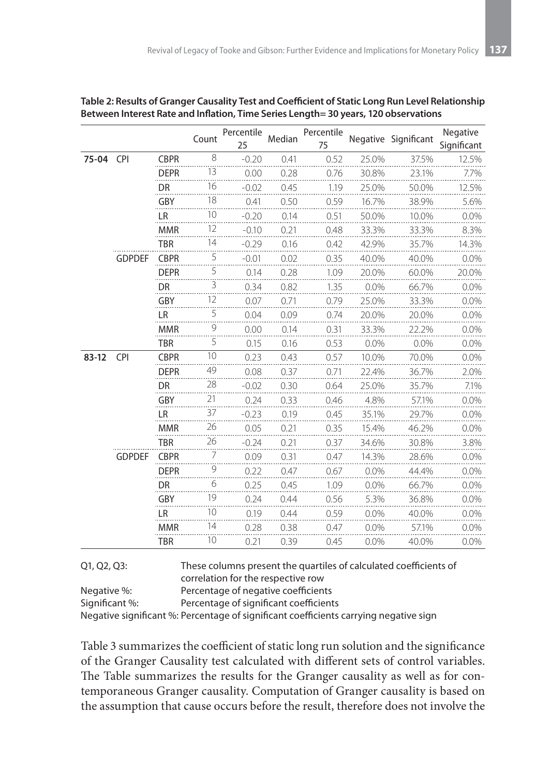|         |               |             | Count          | Percentile<br>25 | Median | Percentile<br>75 |       | Negative Significant | Negative<br>Significant |
|---------|---------------|-------------|----------------|------------------|--------|------------------|-------|----------------------|-------------------------|
| 75-04   | CPI           | <b>CBPR</b> | 8              | $-0.20$          | 0.41   | 0.52             | 25.0% | 37.5%                | 12.5%                   |
|         |               | <b>DEPR</b> | 13             | 0.00             | 0.28   | 0.76             | 30.8% | 23.1%                | 7.7%                    |
|         |               | DR          | 16             | $-0.02$          | 0.45   | 1.19             | 25.0% | 50.0%                | 12.5%                   |
|         |               | GBY         | 18             | 0.41             | 0.50   | 0.59             | 16.7% | 38.9%                | 5.6%                    |
|         |               | <b>LR</b>   | 10             | $-0.20$          | 0.14   | 0.51             | 50.0% | 10.0%                | 0.0%                    |
|         |               | <b>MMR</b>  | 12             | $-0.10$          | 0.21   | 0.48             | 33.3% | 33.3%                | 8.3%                    |
|         |               | <b>TBR</b>  | 14             | $-0.29$          | 0.16   | 0.42             | 42.9% | 35.7%                | 14.3%                   |
|         | <b>GDPDEF</b> | <b>CBPR</b> | 5              | $-0.01$          | 0.02   | 0.35             | 40.0% | 40.0%                | 0.0%                    |
|         |               | <b>DEPR</b> | 5              | 0.14             | 0.28   | 1.09             | 20.0% | 60.0%                | 20.0%                   |
|         |               | DR          | $\overline{3}$ | 0.34             | 0.82   | 1.35             | 0.0%  | 66.7%                | 0.0%                    |
|         |               | GBY         | 12             | 0.07             | 0.71   | 0.79             | 25.0% | 33.3%                | 0.0%                    |
|         |               | <b>LR</b>   | $\overline{5}$ | 0.04             | 0.09   | 0.74             | 20.0% | 20.0%                | 0.0%                    |
|         |               | <b>MMR</b>  | 9              | 0.00             | 0.14   | 0.31             | 33.3% | 22.2%                | 0.0%                    |
|         |               | <b>TBR</b>  | 5              | 0.15             | 0.16   | 0.53             | 0.0%  | 0.0%                 | 0.0%                    |
| $83-12$ | <b>CPI</b>    | <b>CBPR</b> | 10             | 0.23             | 0.43   | 0.57             | 10.0% | 70.0%                | 0.0%                    |
|         |               | <b>DEPR</b> | 49             | 0.08             | 0.37   | 0.71             | 22.4% | 36.7%                | 2.0%                    |
|         |               | DR          | 28             | $-0.02$          | 0.30   | 0.64             | 25.0% | 35.7%                | 7.1%                    |
|         |               | GBY         | 21             | 0.24             | 0.33   | 0.46             | 4.8%  | 57.1%                | 0.0%                    |
|         |               | LR          | 37             | $-0.23$          | 0.19   | 0.45             | 35.1% | 29.7%                | 0.0%                    |
|         |               | <b>MMR</b>  | 26             | 0.05             | 0.21   | 0.35             | 15.4% | 46.2%                | 0.0%                    |
|         |               | <b>TBR</b>  | 26             | $-0.24$          | 0.21   | 0.37             | 34.6% | 30.8%                | 3.8%                    |
|         | <b>GDPDEF</b> | <b>CBPR</b> | 7              | 0.09             | 0.31   | 0.47             | 14.3% | 28.6%                | 0.0%                    |
|         |               | <b>DEPR</b> | 9              | 0.22             | 0.47   | 0.67             | 0.0%  | 44.4%                | 0.0%                    |
|         |               | DR          | 6              | 0.25             | 0.45   | 1.09             | 0.0%  | 66.7%                | 0.0%                    |
|         |               | <b>GBY</b>  | 19             | 0.24             | 0.44   | 0.56             | 5.3%  | 36.8%                | 0.0%                    |
|         |               | LR          | 10             | 0.19             | 0.44   | 0.59             | 0.0%  | 40.0%                | 0.0%                    |
|         |               | <b>MMR</b>  | 14             | 0.28             | 0.38   | 0.47             | 0.0%  | 57.1%                | 0.0%                    |
|         |               | <b>TBR</b>  | 10             | 0.21             | 0.39   | 0.45             | 0.0%  | 40.0%                | 0.0%                    |

**Table 2: Results of Granger Causality Test and Coefficient of Static Long Run Level Relationship Between Interest Rate and Inflation, Time Series Length= 30 years, 120 observations**

| Q1, Q2, Q3:    | These columns present the quartiles of calculated coefficients of                     |  |  |  |  |  |
|----------------|---------------------------------------------------------------------------------------|--|--|--|--|--|
|                | correlation for the respective row                                                    |  |  |  |  |  |
| Negative %:    | Percentage of negative coefficients                                                   |  |  |  |  |  |
| Significant %: | Percentage of significant coefficients                                                |  |  |  |  |  |
|                | Negative significant %: Percentage of significant coefficients carrying negative sign |  |  |  |  |  |

Table 3 summarizes the coefficient of static long run solution and the significance of the Granger Causality test calculated with different sets of control variables. The Table summarizes the results for the Granger causality as well as for contemporaneous Granger causality. Computation of Granger causality is based on the assumption that cause occurs before the result, therefore does not involve the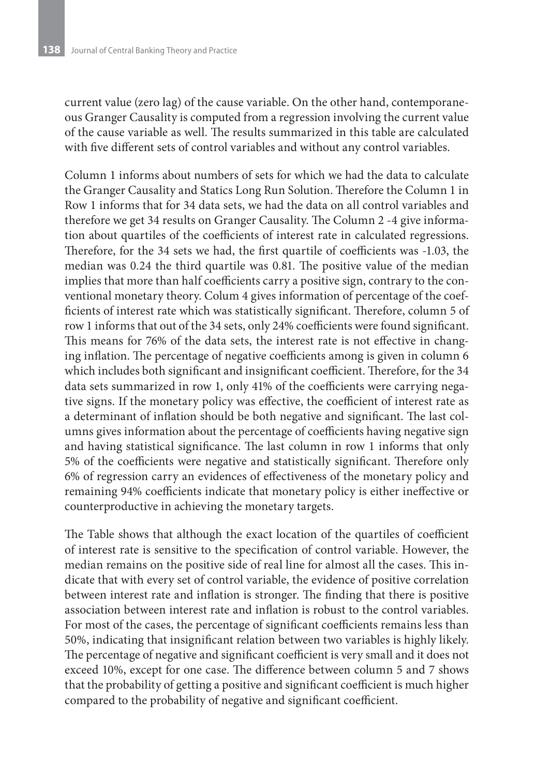current value (zero lag) of the cause variable. On the other hand, contemporaneous Granger Causality is computed from a regression involving the current value of the cause variable as well. The results summarized in this table are calculated with five different sets of control variables and without any control variables.

Column 1 informs about numbers of sets for which we had the data to calculate the Granger Causality and Statics Long Run Solution. Therefore the Column 1 in Row 1 informs that for 34 data sets, we had the data on all control variables and therefore we get 34 results on Granger Causality. The Column 2 -4 give information about quartiles of the coefficients of interest rate in calculated regressions. Therefore, for the 34 sets we had, the first quartile of coefficients was -1.03, the median was 0.24 the third quartile was 0.81. The positive value of the median implies that more than half coefficients carry a positive sign, contrary to the conventional monetary theory. Colum 4 gives information of percentage of the coefficients of interest rate which was statistically significant. Therefore, column 5 of row 1 informs that out of the 34 sets, only 24% coefficients were found significant. This means for 76% of the data sets, the interest rate is not effective in changing inflation. The percentage of negative coefficients among is given in column 6 which includes both significant and insignificant coefficient. Therefore, for the 34 data sets summarized in row 1, only 41% of the coefficients were carrying negative signs. If the monetary policy was effective, the coefficient of interest rate as a determinant of inflation should be both negative and significant. The last columns gives information about the percentage of coefficients having negative sign and having statistical significance. The last column in row 1 informs that only 5% of the coefficients were negative and statistically significant. Therefore only 6% of regression carry an evidences of effectiveness of the monetary policy and remaining 94% coefficients indicate that monetary policy is either ineffective or counterproductive in achieving the monetary targets.

The Table shows that although the exact location of the quartiles of coefficient of interest rate is sensitive to the specification of control variable. However, the median remains on the positive side of real line for almost all the cases. This indicate that with every set of control variable, the evidence of positive correlation between interest rate and inflation is stronger. The finding that there is positive association between interest rate and inflation is robust to the control variables. For most of the cases, the percentage of significant coefficients remains less than 50%, indicating that insignificant relation between two variables is highly likely. The percentage of negative and significant coefficient is very small and it does not exceed 10%, except for one case. The difference between column 5 and 7 shows that the probability of getting a positive and significant coefficient is much higher compared to the probability of negative and significant coefficient.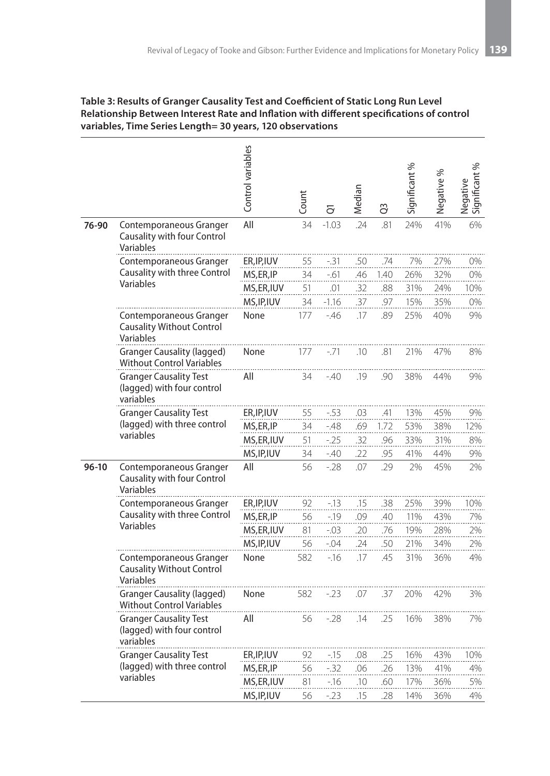|         |                                                                          | Control variables | Count | $\overline{O}$ | Median | G    | Significant % | Negative % | Negative<br>Significant % |
|---------|--------------------------------------------------------------------------|-------------------|-------|----------------|--------|------|---------------|------------|---------------------------|
| 76-90   | Contemporaneous Granger<br>Causality with four Control<br>Variables      | All               | 34    | $-1.03$        | .24    | .81  | 24%           | 41%        | 6%                        |
|         | Contemporaneous Granger                                                  | ER, IP, IUV       | 55    | -.31           | .50    | .74  | 7%            | 27%        | 0%                        |
|         | Causality with three Control                                             | MS, ER, IP        | 34    | $-0.61$        | .46    | 1.40 | 26%           | 32%        | 0%                        |
|         | Variables                                                                | MS,ER,IUV         | 51    | .01            | .32    | .88  | 31%           | 24%        | 10%                       |
|         |                                                                          | MS, IP, IUV       | 34    | -1.16          | .37    | 97.  | 15%           | 35%        | 0%                        |
|         | Contemporaneous Granger<br><b>Causality Without Control</b><br>Variables | None              | 177   | $-46$          | .17    | .89  | 25%           | 40%        | 9%                        |
|         | <b>Granger Causality (lagged)</b><br><b>Without Control Variables</b>    | None              | 177   | $-71$          | .10    | .81  | 21%           | 47%        | 8%                        |
|         | <b>Granger Causality Test</b><br>(lagged) with four control<br>variables | All               | 34    | $-40$          | .19    | .90  | 38%           | 44%        | 9%                        |
|         | <b>Granger Causality Test</b>                                            | ER, IP, IUV       | 55    | -.53           | .03    | .41  | 13%           | 45%        | 9%                        |
|         | (lagged) with three control                                              | MS, ER, IP        | 34    | $-48$          | .69    | 1.72 | 53%           | 38%        | 12%                       |
|         | variables                                                                | MS,ER,IUV         | 51    | $-0.25$        | .32    | .96  | 33%           | 31%        | 8%                        |
|         |                                                                          | MS, IP, IUV       | 34    | $-40$          | .22    | .95  | 41%           | 44%        | 9%                        |
| $96-10$ | Contemporaneous Granger<br>Causality with four Control<br>Variables      | All               | 56    | $-28$          | .07    | .29  | 2%            | 45%        | 2%                        |
|         | Contemporaneous Granger                                                  | ER, IP, IUV       | 92    | -.13           | .15    | .38  | 25%           | 39%        | 10%                       |
|         | Causality with three Control                                             | MS, ER, IP        | 56    | $-19$          | .09    | .40  | 11%           | 43%        | 7%                        |
|         | Variables                                                                | MS, ER, IUV       | 81    | $-.03$         | .20    | .76  | 19%           | 28%        | 2%                        |
|         |                                                                          | MS, IP, IUV       | 56    | $-0.04$        | .24    | .50  | 21%           | 34%        | 2%                        |
|         | Contemporaneous Granger<br><b>Causality Without Control</b><br>Variables | None              | 582   | $-16$          | .17    | .45  | 31%           | 36%        | 4%                        |
|         | Granger Causality (lagged)<br><b>Without Control Variables</b>           | None              | 582   | $-23$          | .07    | .37  | 20%           | 42%        | 3%                        |
|         | <b>Granger Causality Test</b><br>(lagged) with four control<br>variables | All               | 56    | $-28$          | .14    | .25  | 16%           | 38%        | 7%                        |
|         | <b>Granger Causality Test</b>                                            | ER, IP, IUV       | 92    | $-15$          | .08    | .25  | 16%           | 43%        | 10%                       |
|         | (lagged) with three control                                              | MS, ER, IP        | 56    | $-32$          | .06    | .26  | 13%           | 41%        | 4%                        |
|         | variables                                                                | MS, ER, IUV       | 81    | $-16$          | .10    | .60  | 17%           | 36%        | 5%                        |
|         |                                                                          | MS, IP, IUV       | 56    | $-23$          | .15    | .28  | 14%           | 36%        | 4%                        |

#### **Table 3: Results of Granger Causality Test and Coefficient of Static Long Run Level Relationship Between Interest Rate and Inflation with different specifications of control variables, Time Series Length= 30 years, 120 observations**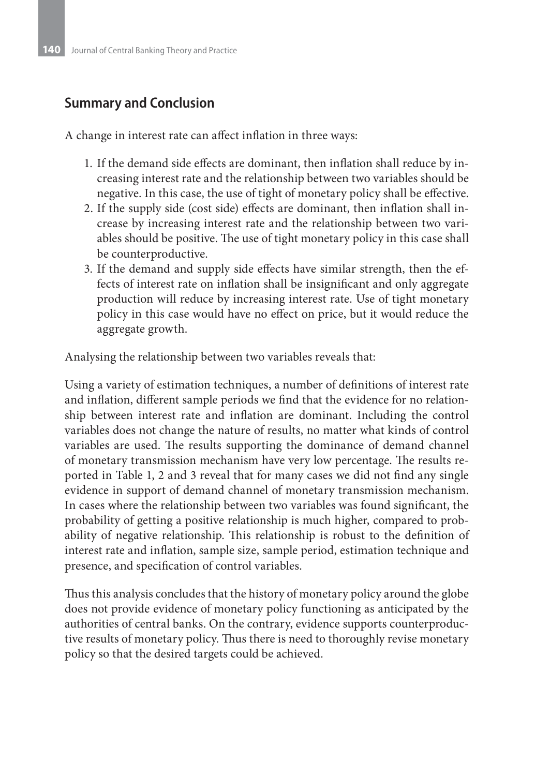# **Summary and Conclusion**

A change in interest rate can affect inflation in three ways:

- 1. If the demand side effects are dominant, then inflation shall reduce by increasing interest rate and the relationship between two variables should be negative. In this case, the use of tight of monetary policy shall be effective.
- 2. If the supply side (cost side) effects are dominant, then inflation shall increase by increasing interest rate and the relationship between two variables should be positive. The use of tight monetary policy in this case shall be counterproductive.
- 3. If the demand and supply side effects have similar strength, then the effects of interest rate on inflation shall be insignificant and only aggregate production will reduce by increasing interest rate. Use of tight monetary policy in this case would have no effect on price, but it would reduce the aggregate growth.

Analysing the relationship between two variables reveals that:

Using a variety of estimation techniques, a number of definitions of interest rate and inflation, different sample periods we find that the evidence for no relationship between interest rate and inflation are dominant. Including the control variables does not change the nature of results, no matter what kinds of control variables are used. The results supporting the dominance of demand channel of monetary transmission mechanism have very low percentage. The results reported in Table 1, 2 and 3 reveal that for many cases we did not find any single evidence in support of demand channel of monetary transmission mechanism. In cases where the relationship between two variables was found significant, the probability of getting a positive relationship is much higher, compared to probability of negative relationship. This relationship is robust to the definition of interest rate and inflation, sample size, sample period, estimation technique and presence, and specification of control variables.

Thus this analysis concludes that the history of monetary policy around the globe does not provide evidence of monetary policy functioning as anticipated by the authorities of central banks. On the contrary, evidence supports counterproductive results of monetary policy. Thus there is need to thoroughly revise monetary policy so that the desired targets could be achieved.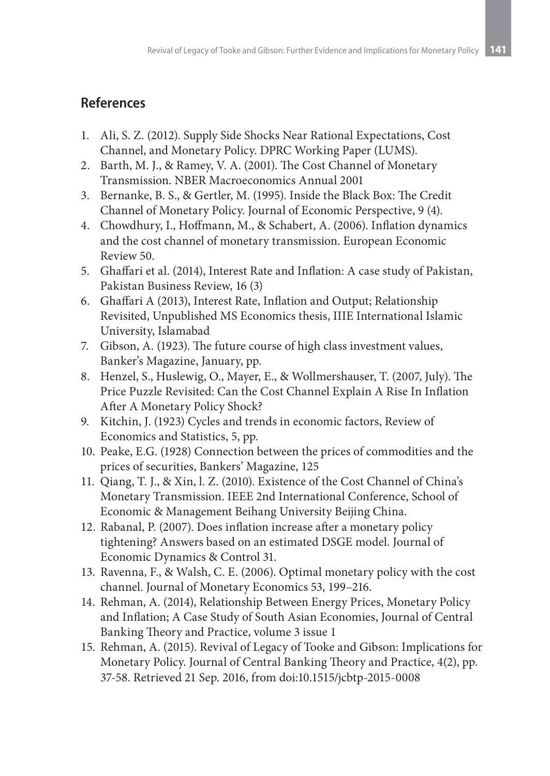# **References**

- 1. Ali, S. Z. (2012). Supply Side Shocks Near Rational Expectations, Cost Channel, and Monetary Policy. DPRC Working Paper (LUMS).
- 2. Barth, M. J., & Ramey, V. A. (2001). The Cost Channel of Monetary Transmission. NBER Macroeconomics Annual 2001
- 3. Bernanke, B. S., & Gertler, M. (1995). Inside the Black Box: The Credit Channel of Monetary Policy. Journal of Economic Perspective, 9 (4).
- 4. Chowdhury, I., Hoffmann, M., & Schabert, A. (2006). Inflation dynamics and the cost channel of monetary transmission. European Economic Review 50.
- 5. Ghaffari et al. (2014), Interest Rate and Inflation: A case study of Pakistan, Pakistan Business Review, 16 (3)
- 6. Ghaffari A (2013), Interest Rate, Inflation and Output; Relationship Revisited, Unpublished MS Economics thesis, IIIE International Islamic University, Islamabad
- 7. Gibson, A. (1923). The future course of high class investment values, Banker's Magazine, January, pp.
- 8. Henzel, S., Huslewig, O., Mayer, E., & Wollmershauser, T. (2007, July). The Price Puzzle Revisited: Can the Cost Channel Explain A Rise In Inflation After A Monetary Policy Shock?
- 9. Kitchin, J. (1923) Cycles and trends in economic factors, Review of Economics and Statistics, 5, pp.
- 10. Peake, E.G. (1928) Connection between the prices of commodities and the prices of securities, Bankers' Magazine, 125
- 11. Qiang, T. J., & Xin, l. Z. (2010). Existence of the Cost Channel of China's Monetary Transmission. IEEE 2nd International Conference, School of Economic & Management Beihang University Beijing China.
- 12. Rabanal, P. (2007). Does inflation increase after a monetary policy tightening? Answers based on an estimated DSGE model. Journal of Economic Dynamics & Control 31.
- 13. Ravenna, F., & Walsh, C. E. (2006). Optimal monetary policy with the cost channel. Journal of Monetary Economics 53, 199–216.
- 14. Rehman, A. (2014), Relationship Between Energy Prices, Monetary Policy and Inflation; A Case Study of South Asian Economies, Journal of Central Banking Theory and Practice, volume 3 issue 1
- 15. Rehman, A. (2015). Revival of Legacy of Tooke and Gibson: Implications for Monetary Policy. Journal of Central Banking Theory and Practice, 4(2), pp. 37-58. Retrieved 21 Sep. 2016, from doi:10.1515/jcbtp-2015-0008